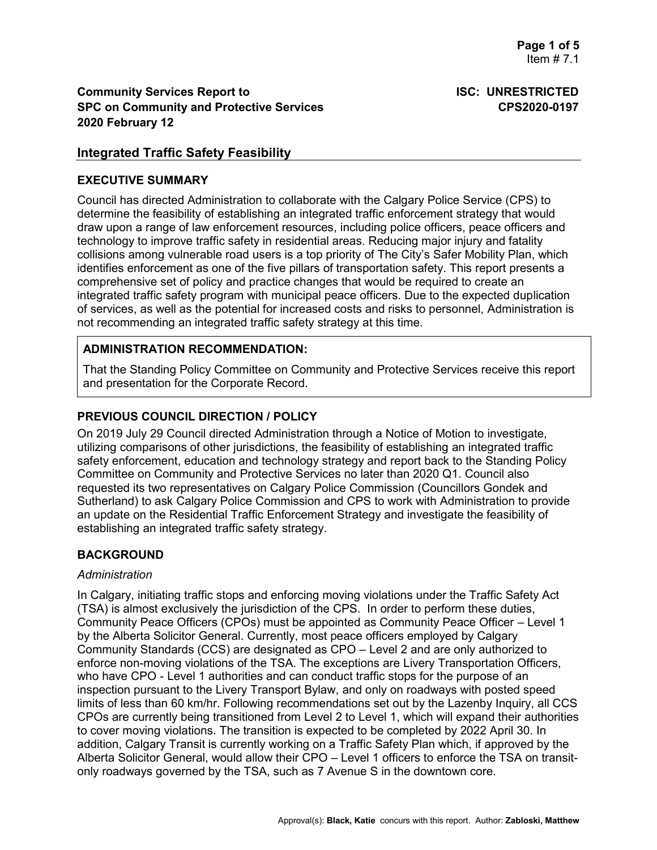# **Integrated Traffic Safety Feasibility**

#### **EXECUTIVE SUMMARY**

Council has directed Administration to collaborate with the Calgary Police Service (CPS) to determine the feasibility of establishing an integrated traffic enforcement strategy that would draw upon a range of law enforcement resources, including police officers, peace officers and technology to improve traffic safety in residential areas. Reducing major injury and fatality collisions among vulnerable road users is a top priority of The City's Safer Mobility Plan, which identifies enforcement as one of the five pillars of transportation safety. This report presents a comprehensive set of policy and practice changes that would be required to create an integrated traffic safety program with municipal peace officers. Due to the expected duplication of services, as well as the potential for increased costs and risks to personnel, Administration is not recommending an integrated traffic safety strategy at this time.

## **ADMINISTRATION RECOMMENDATION:**

That the Standing Policy Committee on Community and Protective Services receive this report and presentation for the Corporate Record.

# **PREVIOUS COUNCIL DIRECTION / POLICY**

On 2019 July 29 Council directed Administration through a Notice of Motion to investigate, utilizing comparisons of other jurisdictions, the feasibility of establishing an integrated traffic safety enforcement, education and technology strategy and report back to the Standing Policy Committee on Community and Protective Services no later than 2020 Q1. Council also requested its two representatives on Calgary Police Commission (Councillors Gondek and Sutherland) to ask Calgary Police Commission and CPS to work with Administration to provide an update on the Residential Traffic Enforcement Strategy and investigate the feasibility of establishing an integrated traffic safety strategy.

# **BACKGROUND**

#### *Administration*

In Calgary, initiating traffic stops and enforcing moving violations under the Traffic Safety Act (TSA) is almost exclusively the jurisdiction of the CPS. In order to perform these duties, Community Peace Officers (CPOs) must be appointed as Community Peace Officer – Level 1 by the Alberta Solicitor General. Currently, most peace officers employed by Calgary Community Standards (CCS) are designated as CPO – Level 2 and are only authorized to enforce non-moving violations of the TSA. The exceptions are Livery Transportation Officers, who have CPO - Level 1 authorities and can conduct traffic stops for the purpose of an inspection pursuant to the Livery Transport Bylaw, and only on roadways with posted speed limits of less than 60 km/hr. Following recommendations set out by the Lazenby Inquiry, all CCS CPOs are currently being transitioned from Level 2 to Level 1, which will expand their authorities to cover moving violations. The transition is expected to be completed by 2022 April 30. In addition, Calgary Transit is currently working on a Traffic Safety Plan which, if approved by the Alberta Solicitor General, would allow their CPO – Level 1 officers to enforce the TSA on transitonly roadways governed by the TSA, such as 7 Avenue S in the downtown core.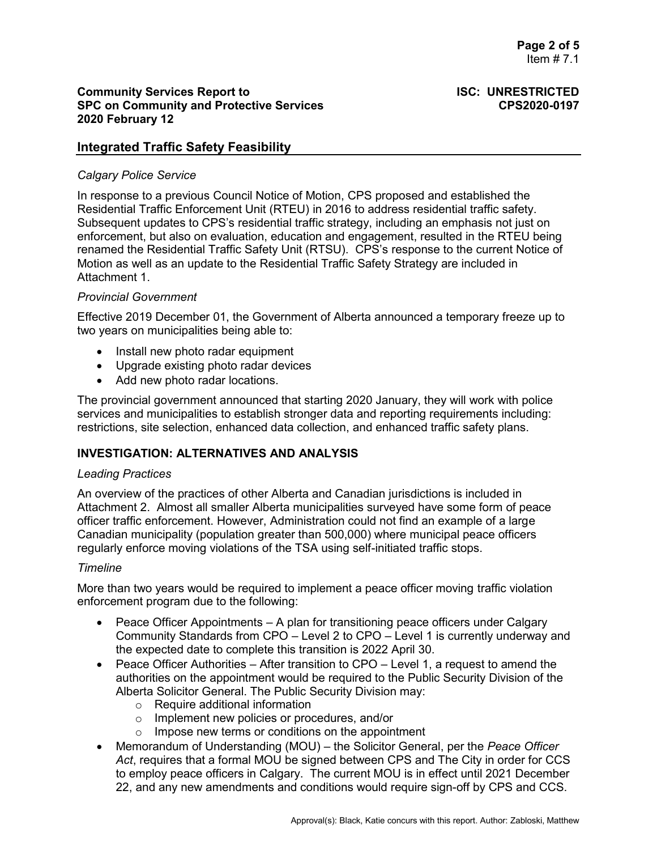# **Integrated Traffic Safety Feasibility**

# *Calgary Police Service*

In response to a previous Council Notice of Motion, CPS proposed and established the Residential Traffic Enforcement Unit (RTEU) in 2016 to address residential traffic safety. Subsequent updates to CPS's residential traffic strategy, including an emphasis not just on enforcement, but also on evaluation, education and engagement, resulted in the RTEU being renamed the Residential Traffic Safety Unit (RTSU). CPS's response to the current Notice of Motion as well as an update to the Residential Traffic Safety Strategy are included in Attachment 1.

## *Provincial Government*

Effective 2019 December 01, the Government of Alberta announced a temporary freeze up to two years on municipalities being able to:

- Install new photo radar equipment
- Upgrade existing photo radar devices
- Add new photo radar locations.

The provincial government announced that starting 2020 January, they will work with police services and municipalities to establish stronger data and reporting requirements including: restrictions, site selection, enhanced data collection, and enhanced traffic safety plans.

# **INVESTIGATION: ALTERNATIVES AND ANALYSIS**

#### *Leading Practices*

An overview of the practices of other Alberta and Canadian jurisdictions is included in Attachment 2. Almost all smaller Alberta municipalities surveyed have some form of peace officer traffic enforcement. However, Administration could not find an example of a large Canadian municipality (population greater than 500,000) where municipal peace officers regularly enforce moving violations of the TSA using self-initiated traffic stops.

#### *Timeline*

More than two years would be required to implement a peace officer moving traffic violation enforcement program due to the following:

- Peace Officer Appointments A plan for transitioning peace officers under Calgary Community Standards from CPO – Level 2 to CPO – Level 1 is currently underway and the expected date to complete this transition is 2022 April 30.
- Peace Officer Authorities After transition to CPO Level 1, a request to amend the authorities on the appointment would be required to the Public Security Division of the Alberta Solicitor General. The Public Security Division may:
	- o Require additional information
	- o Implement new policies or procedures, and/or
	- $\circ$  Impose new terms or conditions on the appointment
- Memorandum of Understanding (MOU) the Solicitor General, per the *Peace Officer Act*, requires that a formal MOU be signed between CPS and The City in order for CCS to employ peace officers in Calgary. The current MOU is in effect until 2021 December 22, and any new amendments and conditions would require sign-off by CPS and CCS.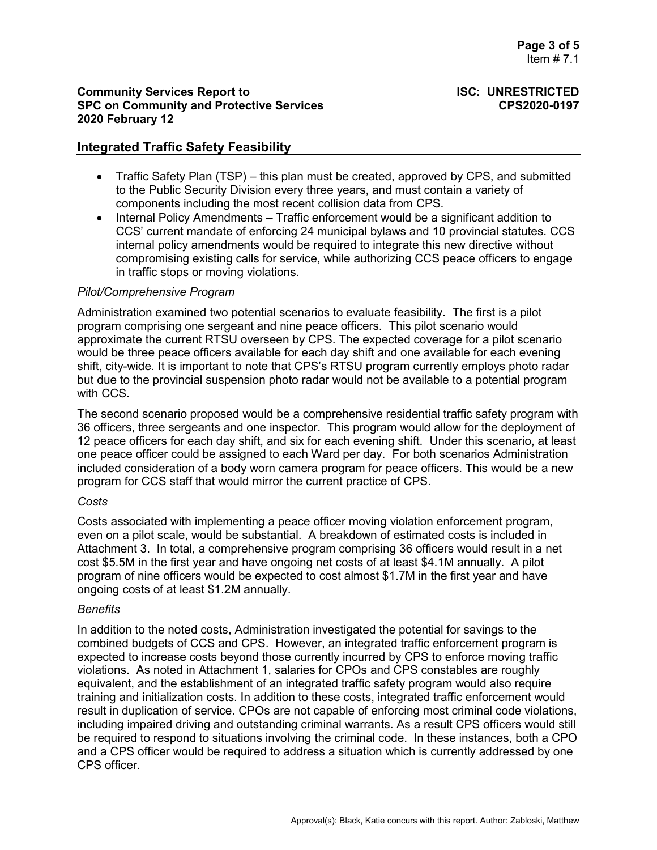# **Integrated Traffic Safety Feasibility**

- Traffic Safety Plan (TSP) this plan must be created, approved by CPS, and submitted to the Public Security Division every three years, and must contain a variety of components including the most recent collision data from CPS.
- Internal Policy Amendments Traffic enforcement would be a significant addition to CCS' current mandate of enforcing 24 municipal bylaws and 10 provincial statutes. CCS internal policy amendments would be required to integrate this new directive without compromising existing calls for service, while authorizing CCS peace officers to engage in traffic stops or moving violations.

#### *Pilot/Comprehensive Program*

Administration examined two potential scenarios to evaluate feasibility. The first is a pilot program comprising one sergeant and nine peace officers. This pilot scenario would approximate the current RTSU overseen by CPS. The expected coverage for a pilot scenario would be three peace officers available for each day shift and one available for each evening shift, city-wide. It is important to note that CPS's RTSU program currently employs photo radar but due to the provincial suspension photo radar would not be available to a potential program with CCS.

The second scenario proposed would be a comprehensive residential traffic safety program with 36 officers, three sergeants and one inspector. This program would allow for the deployment of 12 peace officers for each day shift, and six for each evening shift. Under this scenario, at least one peace officer could be assigned to each Ward per day. For both scenarios Administration included consideration of a body worn camera program for peace officers. This would be a new program for CCS staff that would mirror the current practice of CPS.

#### *Costs*

Costs associated with implementing a peace officer moving violation enforcement program, even on a pilot scale, would be substantial. A breakdown of estimated costs is included in Attachment 3. In total, a comprehensive program comprising 36 officers would result in a net cost \$5.5M in the first year and have ongoing net costs of at least \$4.1M annually. A pilot program of nine officers would be expected to cost almost \$1.7M in the first year and have ongoing costs of at least \$1.2M annually.

#### *Benefits*

In addition to the noted costs, Administration investigated the potential for savings to the combined budgets of CCS and CPS. However, an integrated traffic enforcement program is expected to increase costs beyond those currently incurred by CPS to enforce moving traffic violations. As noted in Attachment 1, salaries for CPOs and CPS constables are roughly equivalent, and the establishment of an integrated traffic safety program would also require training and initialization costs. In addition to these costs, integrated traffic enforcement would result in duplication of service. CPOs are not capable of enforcing most criminal code violations, including impaired driving and outstanding criminal warrants. As a result CPS officers would still be required to respond to situations involving the criminal code. In these instances, both a CPO and a CPS officer would be required to address a situation which is currently addressed by one CPS officer.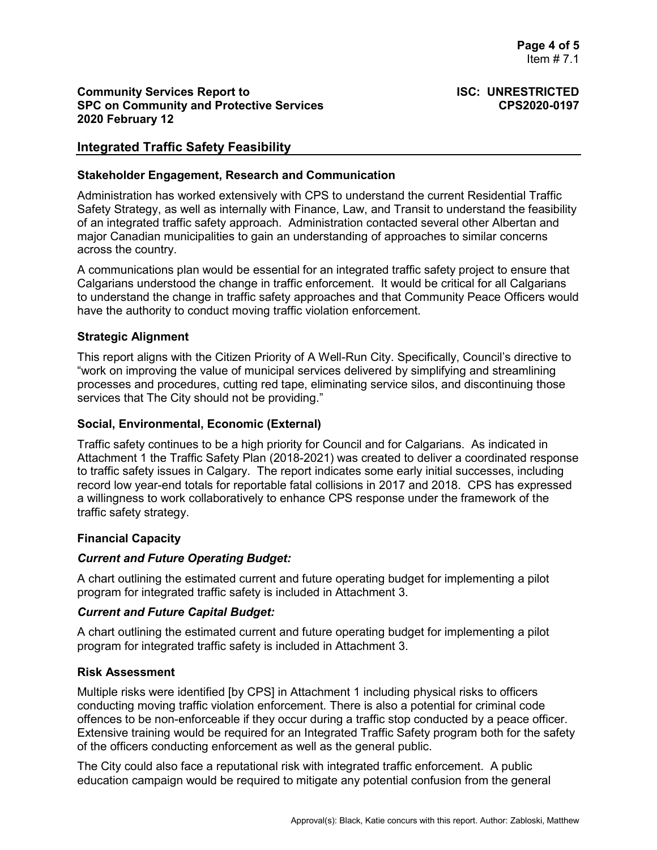# **Integrated Traffic Safety Feasibility**

#### **Stakeholder Engagement, Research and Communication**

Administration has worked extensively with CPS to understand the current Residential Traffic Safety Strategy, as well as internally with Finance, Law, and Transit to understand the feasibility of an integrated traffic safety approach. Administration contacted several other Albertan and major Canadian municipalities to gain an understanding of approaches to similar concerns across the country.

A communications plan would be essential for an integrated traffic safety project to ensure that Calgarians understood the change in traffic enforcement. It would be critical for all Calgarians to understand the change in traffic safety approaches and that Community Peace Officers would have the authority to conduct moving traffic violation enforcement.

## **Strategic Alignment**

This report aligns with the Citizen Priority of A Well-Run City. Specifically, Council's directive to "work on improving the value of municipal services delivered by simplifying and streamlining processes and procedures, cutting red tape, eliminating service silos, and discontinuing those services that The City should not be providing."

## **Social, Environmental, Economic (External)**

Traffic safety continues to be a high priority for Council and for Calgarians. As indicated in Attachment 1 the Traffic Safety Plan (2018-2021) was created to deliver a coordinated response to traffic safety issues in Calgary. The report indicates some early initial successes, including record low year-end totals for reportable fatal collisions in 2017 and 2018. CPS has expressed a willingness to work collaboratively to enhance CPS response under the framework of the traffic safety strategy.

# **Financial Capacity**

#### *Current and Future Operating Budget:*

A chart outlining the estimated current and future operating budget for implementing a pilot program for integrated traffic safety is included in Attachment 3.

#### *Current and Future Capital Budget:*

A chart outlining the estimated current and future operating budget for implementing a pilot program for integrated traffic safety is included in Attachment 3.

#### **Risk Assessment**

Multiple risks were identified [by CPS] in Attachment 1 including physical risks to officers conducting moving traffic violation enforcement. There is also a potential for criminal code offences to be non-enforceable if they occur during a traffic stop conducted by a peace officer. Extensive training would be required for an Integrated Traffic Safety program both for the safety of the officers conducting enforcement as well as the general public.

The City could also face a reputational risk with integrated traffic enforcement. A public education campaign would be required to mitigate any potential confusion from the general